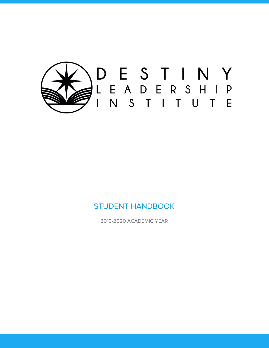

## STUDENT HANDBOOK

2019-2020 ACADEMIC YEAR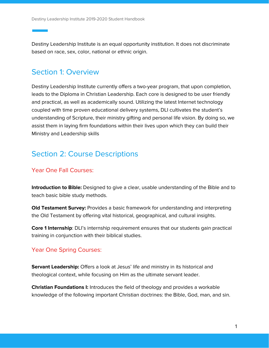Destiny Leadership Institute is an equal opportunity institution. It does not discriminate based on race, sex, color, national or ethnic origin.

## Section 1: Overview

Destiny Leadership Institute currently offers a two-year program, that upon completion, leads to the Diploma in Christian Leadership. Each core is designed to be user friendly and practical, as well as academically sound. Utilizing the latest Internet technology coupled with time proven educational delivery systems, DLI cultivates the student's understanding of Scripture, their ministry gifting and personal life vision. By doing so, we assist them in laying firm foundations within their lives upon which they can build their Ministry and Leadership skills

# Section 2: Course Descriptions

### Year One Fall Courses:

**Introduction to Bible:** Designed to give a clear, usable understanding of the Bible and to teach basic bible study methods.

**Old Testament Survey:** Provides a basic framework for understanding and interpreting the Old Testament by offering vital historical, geographical, and cultural insights.

**Core 1 Internship**: DLI's internship requirement ensures that our students gain practical training in conjunction with their biblical studies.

### Year One Spring Courses:

**Servant Leadership:** Offers a look at Jesus' life and ministry in its historical and theological context, while focusing on Him as the ultimate servant leader.

**Christian Foundations I:** Introduces the field of theology and provides a workable knowledge of the following important Christian doctrines: the Bible, God, man, and sin.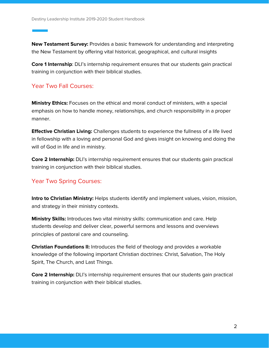**New Testament Survey:** Provides a basic framework for understanding and interpreting the New Testament by offering vital historical, geographical, and cultural insights

**Core 1 Internship**: DLI's internship requirement ensures that our students gain practical training in conjunction with their biblical studies.

### Year Two Fall Courses:

**Ministry Ethics:** Focuses on the ethical and moral conduct of ministers, with a special emphasis on how to handle money, relationships, and church responsibility in a proper manner.

**Effective Christian Living:** Challenges students to experience the fullness of a life lived in fellowship with a loving and personal God and gives insight on knowing and doing the will of God in life and in ministry.

**Core 2 Internship:** DLI's internship requirement ensures that our students gain practical training in conjunction with their biblical studies.

## Year Two Spring Courses:

**Intro to Christian Ministry:** Helps students identify and implement values, vision, mission, and strategy in their ministry contexts.

**Ministry Skills:** Introduces two vital ministry skills: communication and care. Help students develop and deliver clear, powerful sermons and lessons and overviews principles of pastoral care and counseling.

**Christian Foundations II:** Introduces the field of theology and provides a workable knowledge of the following important Christian doctrines: Christ, Salvation, The Holy Spirit, The Church, and Last Things.

**Core 2 Internship:** DLI's internship requirement ensures that our students gain practical training in conjunction with their biblical studies.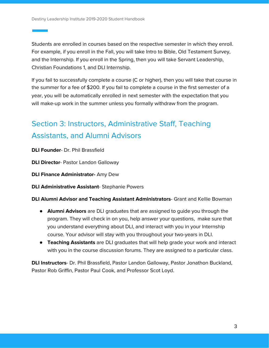Students are enrolled in courses based on the respective semester in which they enroll. For example, if you enroll in the Fall, you will take Intro to Bible, Old Testament Survey, and the Internship. If you enroll in the Spring, then you will take Servant Leadership, Christian Foundations 1, and DLI Internship.

If you fail to successfully complete a course (C or higher), then you will take that course in the summer for a fee of \$200. If you fail to complete a course in the first semester of a year, you will be automatically enrolled in next semester with the expectation that you will make-up work in the summer unless you formally withdraw from the program.

# Section 3: Instructors, Administrative Staff, Teaching Assistants, and Alumni Advisors

**DLI Founder**- Dr. Phil Brassfield

**DLI Director**- Pastor Landon Galloway

**DLI Finance Administrator-** Amy Dew

**DLI Administrative Assistant**- Stephanie Powers

**DLI Alumni Advisor and Teaching Assistant Administrators**- Grant and Kellie Bowman

- **Alumni Advisors** are DLI graduates that are assigned to guide you through the program. They will check in on you, help answer your questions, make sure that you understand everything about DLI, and interact with you in your Internship course. Your advisor will stay with you throughout your two-years in DLI.
- **Teaching Assistants** are DLI graduates that will help grade your work and interact with you in the course discussion forums. They are assigned to a particular class.

**DLI Instructors**- Dr. Phil Brassfield, Pastor Landon Galloway, Pastor Jonathon Buckland, Pastor Rob Griffin, Pastor Paul Cook, and Professor Scot Loyd.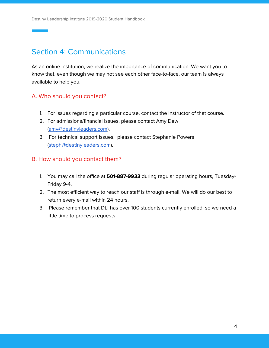# Section 4: Communications

As an online institution, we realize the importance of communication. We want you to know that, even though we may not see each other face-to-face, our team is always available to help you.

## A. Who should you contact?

- 1. For issues regarding a particular course, contact the instructor of that course.
- 2. For admissions/financial issues, please contact Amy Dew ([amy@destinyleaders.com](mailto:amy@destinyleaders.com)).
- 3. For technical support issues, please contact Stephanie Powers ([steph@destinyleaders.com\)](mailto:steph@destinyleaders.com).

### B. How should you contact them?

- 1. You may call the office at **501-887-9933** during regular operating hours, Tuesday-Friday 9-4.
- 2. The most efficient way to reach our staff is through e-mail. We will do our best to return every e-mail within 24 hours.
- 3. Please remember that DLI has over 100 students currently enrolled, so we need a little time to process requests.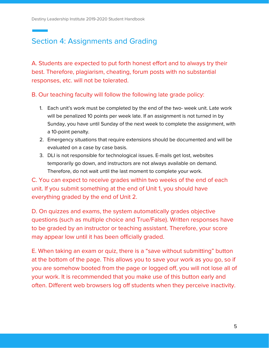# Section 4: Assignments and Grading

A. Students are expected to put forth honest effort and to always try their best. Therefore, plagiarism, cheating, forum posts with no substantial responses, etc. will not be tolerated.

#### B. Our teaching faculty will follow the following late grade policy:

- 1. Each unit's work must be completed by the end of the two- week unit. Late work will be penalized 10 points per week late. If an assignment is not turned in by Sunday, you have until Sunday of the next week to complete the assignment, with a 10-point penalty.
- 2. Emergency situations that require extensions should be documented and will be evaluated on a case by case basis.
- 3. DLI is not responsible for technological issues. E-mails get lost, websites temporarily go down, and instructors are not always available on demand. Therefore, do not wait until the last moment to complete your work.

C. You can expect to receive grades within two weeks of the end of each unit. If you submit something at the end of Unit 1, you should have everything graded by the end of Unit 2.

D. On quizzes and exams, the system automatically grades objective questions (such as multiple choice and True/False). Written responses have to be graded by an instructor or teaching assistant. Therefore, your score may appear low until it has been officially graded.

E. When taking an exam or quiz, there is a "save without submitting" button at the bottom of the page. This allows you to save your work as you go, so if you are somehow booted from the page or logged off, you will not lose all of your work. It is recommended that you make use of this button early and often. Different web browsers log off students when they perceive inactivity.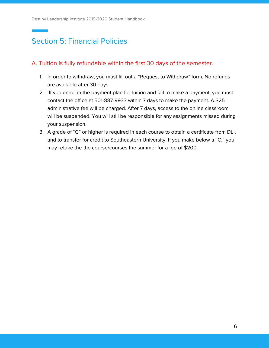# Section 5: Financial Policies

#### A. Tuition is fully refundable within the first 30 days of the semester.

- 1. In order to withdraw, you must fill out a "Request to Withdraw" form. No refunds are available after 30 days.
- 2. If you enroll in the payment plan for tuition and fail to make a payment, you must contact the office at 501-887-9933 within 7 days to make the payment. A \$25 administrative fee will be charged. After 7 days, access to the online classroom will be suspended. You will still be responsible for any assignments missed during your suspension.
- 3. A grade of "C" or higher is required in each course to obtain a certificate from DLI, and to transfer for credit to Southeastern University. If you make below a "C," you may retake the the course/courses the summer for a fee of \$200.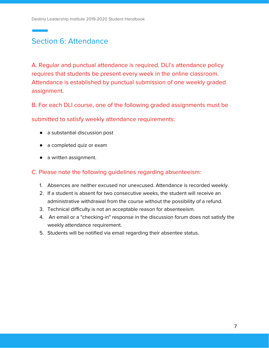# Section 6: Attendance

A. Regular and punctual attendance is required. DLI's attendance policy requires that students be present every week in the online classroom. Attendance is established by punctual submission of one weekly graded assignment.

B. For each DLI course, one of the following graded assignments must be

submitted to satisfy weekly attendance requirements:

- a substantial discussion post
- a completed quiz or exam
- a written assignment.

C. Please note the following guidelines regarding absenteeism:

- 1. Absences are neither excused nor unexcused. Attendance is recorded weekly.
- 2. If a student is absent for two consecutive weeks, the student will receive an administrative withdrawal from the course without the possibility of a refund.
- 3. Technical difficulty is not an acceptable reason for absenteeism.
- 4. An email or a "checking-in" response in the discussion forum does not satisfy the weekly attendance requirement.
- 5. Students will be notified via email regarding their absentee status.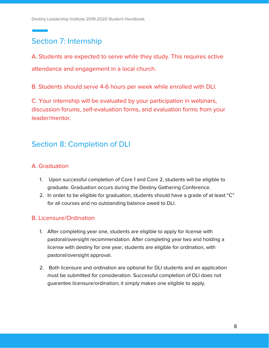# Section 7: Internship

A. Students are expected to serve while they study. This requires active attendance and engagement in a local church.

B. Students should serve 4-6 hours per week while enrolled with DLI.

C. Your internship will be evaluated by your participation in webinars, discussion forums, self-evaluation forms, and evaluation forms from your leader/mentor.

## Section 8: Completion of DLI

## A. Graduation

- 1. Upon successful completion of Core 1 and Core 2, students will be eligible to graduate. Graduation occurs during the Destiny Gathering Conference.
- 2. In order to be eligible for graduation, students should have a grade of at least "C" for all courses and no outstanding balance owed to DLI.

### B. Licensure/Ordination

- 1. After completing year one, students are eligible to apply for license with pastoral/oversight recommendation. After completing year two and holding a license with destiny for one year, students are eligible for ordination, with pastoral/oversight approval.
- 2. Both licensure and ordination are optional for DLI students and an application must be submitted for consideration. Successful completion of DLI does not guarantee licensure/ordination; it simply makes one eligible to apply.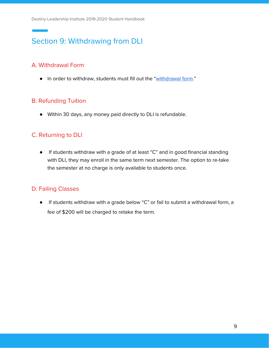# Section 9: Withdrawing from DLI

## A. Withdrawal Form

• In order to withdraw, students must fill out the "[withdrawal](https://destinyministries.ccbchurch.com/goto/forms/31/responses/new) form."

## B. Refunding Tuition

● Within 30 days, any money paid directly to DLI is refundable.

## C. Returning to DLI

● If students withdraw with a grade of at least "C" and in good financial standing with DLI, they may enroll in the same term next semester. The option to re-take the semester at no charge is only available to students once.

## D. Failing Classes

● If students withdraw with a grade below "C" or fail to submit a withdrawal form, a fee of \$200 will be charged to retake the term.